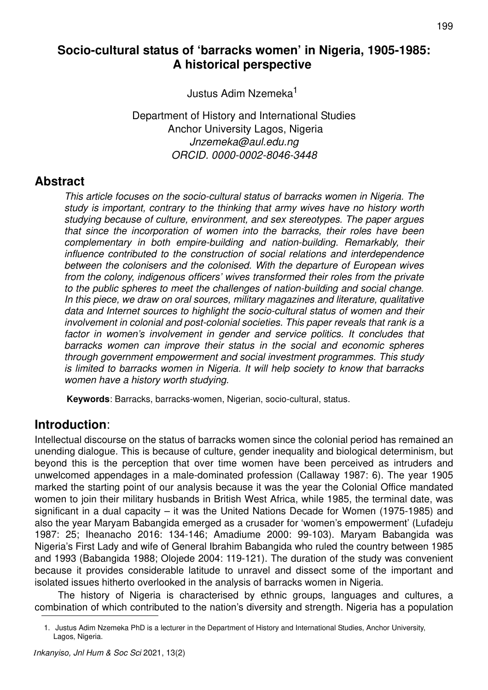# **Socio-cultural status of 'barracks women' in Nigeria, 1905-1985: A historical perspective**

Justus Adim Nzemeka<sup>1</sup>

Department of History and International Studies Anchor University Lagos, Nigeria *Jnzemeka@aul.edu.ng ORCID. 0000-0002-8046-3448*

## **Abstract**

*This article focuses on the socio-cultural status of barracks women in Nigeria. The study is important, contrary to the thinking that army wives have no history worth studying because of culture, environment, and sex stereotypes. The paper argues that since the incorporation of women into the barracks, their roles have been complementary in both empire-building and nation-building. Remarkably, their influence contributed to the construction of social relations and interdependence between the colonisers and the colonised. With the departure of European wives from the colony, indigenous officers' wives transformed their roles from the private to the public spheres to meet the challenges of nation-building and social change. In this piece, we draw on oral sources, military magazines and literature, qualitative data and Internet sources to highlight the socio-cultural status of women and their involvement in colonial and post-colonial societies. This paper reveals that rank is a*  factor in women's involvement in gender and service politics. It concludes that *barracks women can improve their status in the social and economic spheres through government empowerment and social investment programmes. This study is limited to barracks women in Nigeria. It will help society to know that barracks women have a history worth studying.*

**Keywords**: Barracks, barracks-women, Nigerian, socio-cultural, status.

# **Introduction**:

Intellectual discourse on the status of barracks women since the colonial period has remained an unending dialogue. This is because of culture, gender inequality and biological determinism, but beyond this is the perception that over time women have been perceived as intruders and unwelcomed appendages in a male-dominated profession (Callaway 1987: 6). The year 1905 marked the starting point of our analysis because it was the year the Colonial Office mandated women to join their military husbands in British West Africa, while 1985, the terminal date, was significant in a dual capacity – it was the United Nations Decade for Women (1975-1985) and also the year Maryam Babangida emerged as a crusader for 'women's empowerment' (Lufadeju 1987: 25; Iheanacho 2016: 134-146; Amadiume 2000: 99-103). Maryam Babangida was Nigeria's First Lady and wife of General Ibrahim Babangida who ruled the country between 1985 and 1993 (Babangida 1988; Olojede 2004: 119-121). The duration of the study was convenient because it provides considerable latitude to unravel and dissect some of the important and isolated issues hitherto overlooked in the analysis of barracks women in Nigeria.

The history of Nigeria is characterised by ethnic groups, languages and cultures, a combination of which contributed to the nation's diversity and strength. Nigeria has a population

<sup>1.</sup> Justus Adim Nzemeka PhD is a lecturer in the Department of History and International Studies, Anchor University, Lagos, Nigeria.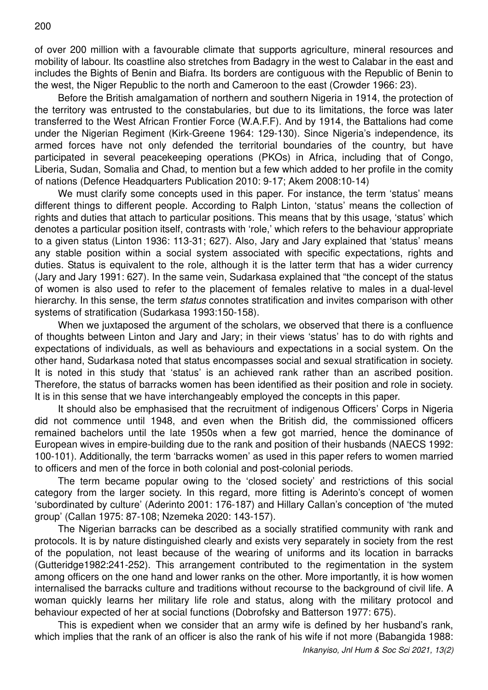of over 200 million with a favourable climate that supports agriculture, mineral resources and mobility of labour. Its coastline also stretches from Badagry in the west to Calabar in the east and includes the Bights of Benin and Biafra. Its borders are contiguous with the Republic of Benin to the west, the Niger Republic to the north and Cameroon to the east (Crowder 1966: 23).

Before the British amalgamation of northern and southern Nigeria in 1914, the protection of the territory was entrusted to the constabularies, but due to its limitations, the force was later transferred to the West African Frontier Force (W.A.F.F). And by 1914, the Battalions had come under the Nigerian Regiment (Kirk-Greene 1964: 129-130). Since Nigeria's independence, its armed forces have not only defended the territorial boundaries of the country, but have participated in several peacekeeping operations (PKOs) in Africa, including that of Congo, Liberia, Sudan, Somalia and Chad, to mention but a few which added to her profile in the comity of nations (Defence Headquarters Publication 2010: 9-17; Akem 2008:10-14)

We must clarify some concepts used in this paper. For instance, the term 'status' means different things to different people. According to Ralph Linton, 'status' means the collection of rights and duties that attach to particular positions. This means that by this usage, 'status' which denotes a particular position itself, contrasts with 'role,' which refers to the behaviour appropriate to a given status (Linton 1936: 113-31; 627). Also, Jary and Jary explained that 'status' means any stable position within a social system associated with specific expectations, rights and duties. Status is equivalent to the role, although it is the latter term that has a wider currency (Jary and Jary 1991: 627). In the same vein, Sudarkasa explained that "the concept of the status of women is also used to refer to the placement of females relative to males in a dual-level hierarchy. In this sense, the term *status* connotes stratification and invites comparison with other systems of stratification (Sudarkasa 1993:150-158).

When we juxtaposed the argument of the scholars, we observed that there is a confluence of thoughts between Linton and Jary and Jary; in their views 'status' has to do with rights and expectations of individuals, as well as behaviours and expectations in a social system. On the other hand, Sudarkasa noted that status encompasses social and sexual stratification in society. It is noted in this study that 'status' is an achieved rank rather than an ascribed position. Therefore, the status of barracks women has been identified as their position and role in society. It is in this sense that we have interchangeably employed the concepts in this paper.

It should also be emphasised that the recruitment of indigenous Officers' Corps in Nigeria did not commence until 1948, and even when the British did, the commissioned officers remained bachelors until the late 1950s when a few got married, hence the dominance of European wives in empire-building due to the rank and position of their husbands (NAECS 1992: 100-101). Additionally, the term 'barracks women' as used in this paper refers to women married to officers and men of the force in both colonial and post-colonial periods.

The term became popular owing to the 'closed society' and restrictions of this social category from the larger society. In this regard, more fitting is Aderinto's concept of women 'subordinated by culture' (Aderinto 2001: 176-187) and Hillary Callan's conception of 'the muted group' (Callan 1975: 87-108; Nzemeka 2020: 143-157).

The Nigerian barracks can be described as a socially stratified community with rank and protocols. It is by nature distinguished clearly and exists very separately in society from the rest of the population, not least because of the wearing of uniforms and its location in barracks (Gutteridge1982:241-252). This arrangement contributed to the regimentation in the system among officers on the one hand and lower ranks on the other. More importantly, it is how women internalised the barracks culture and traditions without recourse to the background of civil life. A woman quickly learns her military life role and status, along with the military protocol and behaviour expected of her at social functions (Dobrofsky and Batterson 1977: 675).

This is expedient when we consider that an army wife is defined by her husband's rank, which implies that the rank of an officer is also the rank of his wife if not more (Babangida 1988: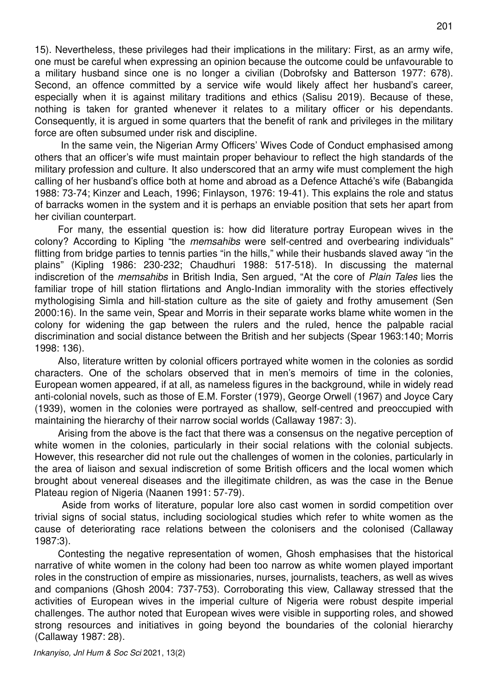15). Nevertheless, these privileges had their implications in the military: First, as an army wife, one must be careful when expressing an opinion because the outcome could be unfavourable to a military husband since one is no longer a civilian (Dobrofsky and Batterson 1977: 678). Second, an offence committed by a service wife would likely affect her husband's career, especially when it is against military traditions and ethics (Salisu 2019). Because of these, nothing is taken for granted whenever it relates to a military officer or his dependants. Consequently, it is argued in some quarters that the benefit of rank and privileges in the military force are often subsumed under risk and discipline.

 In the same vein, the Nigerian Army Officers' Wives Code of Conduct emphasised among others that an officer's wife must maintain proper behaviour to reflect the high standards of the military profession and culture. It also underscored that an army wife must complement the high calling of her husband's office both at home and abroad as a Defence Attaché's wife (Babangida 1988: 73-74; Kinzer and Leach, 1996; Finlayson, 1976: 19-41). This explains the role and status of barracks women in the system and it is perhaps an enviable position that sets her apart from her civilian counterpart.

For many, the essential question is: how did literature portray European wives in the colony? According to Kipling "the *memsahibs* were self-centred and overbearing individuals" flitting from bridge parties to tennis parties "in the hills," while their husbands slaved away "in the plains" (Kipling 1986: 230-232; Chaudhuri 1988: 517-518). In discussing the maternal indiscretion of the *memsahibs* in British India, Sen argued, "At the core of *Plain Tales* lies the familiar trope of hill station flirtations and Anglo-Indian immorality with the stories effectively mythologising Simla and hill-station culture as the site of gaiety and frothy amusement (Sen 2000:16). In the same vein, Spear and Morris in their separate works blame white women in the colony for widening the gap between the rulers and the ruled, hence the palpable racial discrimination and social distance between the British and her subjects (Spear 1963:140; Morris 1998: 136).

Also, literature written by colonial officers portrayed white women in the colonies as sordid characters. One of the scholars observed that in men's memoirs of time in the colonies, European women appeared, if at all, as nameless figures in the background, while in widely read anti-colonial novels, such as those of E.M. Forster (1979), George Orwell (1967) and Joyce Cary (1939), women in the colonies were portrayed as shallow, self-centred and preoccupied with maintaining the hierarchy of their narrow social worlds (Callaway 1987: 3).

Arising from the above is the fact that there was a consensus on the negative perception of white women in the colonies, particularly in their social relations with the colonial subjects. However, this researcher did not rule out the challenges of women in the colonies, particularly in the area of liaison and sexual indiscretion of some British officers and the local women which brought about venereal diseases and the illegitimate children, as was the case in the Benue Plateau region of Nigeria (Naanen 1991: 57-79).

 Aside from works of literature, popular lore also cast women in sordid competition over trivial signs of social status, including sociological studies which refer to white women as the cause of deteriorating race relations between the colonisers and the colonised (Callaway 1987:3).

Contesting the negative representation of women, Ghosh emphasises that the historical narrative of white women in the colony had been too narrow as white women played important roles in the construction of empire as missionaries, nurses, journalists, teachers, as well as wives and companions (Ghosh 2004: 737-753). Corroborating this view, Callaway stressed that the activities of European wives in the imperial culture of Nigeria were robust despite imperial challenges. The author noted that European wives were visible in supporting roles, and showed strong resources and initiatives in going beyond the boundaries of the colonial hierarchy (Callaway 1987: 28).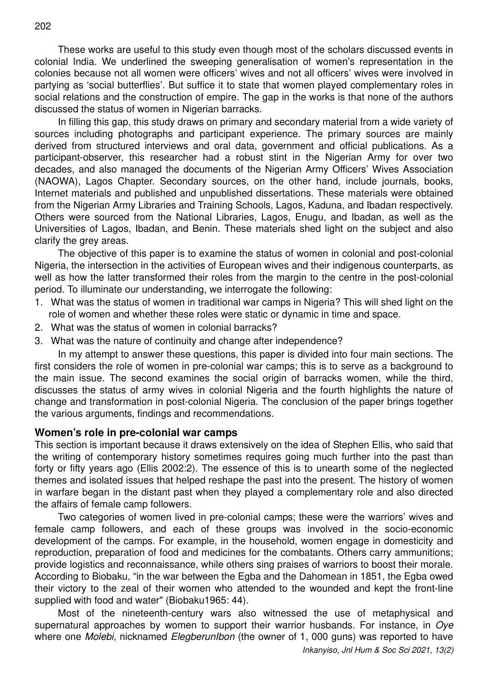These works are useful to this study even though most of the scholars discussed events in colonial India. We underlined the sweeping generalisation of women's representation in the colonies because not all women were officers' wives and not all officers' wives were involved in partying as 'social butterflies'. But suffice it to state that women played complementary roles in social relations and the construction of empire. The gap in the works is that none of the authors discussed the status of women in Nigerian barracks.

In filling this gap, this study draws on primary and secondary material from a wide variety of sources including photographs and participant experience. The primary sources are mainly derived from structured interviews and oral data, government and official publications. As a participant-observer, this researcher had a robust stint in the Nigerian Army for over two decades, and also managed the documents of the Nigerian Army Officers' Wives Association (NAOWA), Lagos Chapter. Secondary sources, on the other hand, include journals, books, Internet materials and published and unpublished dissertations. These materials were obtained from the Nigerian Army Libraries and Training Schools, Lagos, Kaduna, and Ibadan respectively. Others were sourced from the National Libraries, Lagos, Enugu, and Ibadan, as well as the Universities of Lagos, Ibadan, and Benin. These materials shed light on the subject and also clarify the grey areas.

The objective of this paper is to examine the status of women in colonial and post-colonial Nigeria, the intersection in the activities of European wives and their indigenous counterparts, as well as how the latter transformed their roles from the margin to the centre in the post-colonial period. To illuminate our understanding, we interrogate the following:

- 1. What was the status of women in traditional war camps in Nigeria? This will shed light on the role of women and whether these roles were static or dynamic in time and space.
- 2. What was the status of women in colonial barracks?
- 3. What was the nature of continuity and change after independence?

In my attempt to answer these questions, this paper is divided into four main sections. The first considers the role of women in pre-colonial war camps; this is to serve as a background to the main issue. The second examines the social origin of barracks women, while the third, discusses the status of army wives in colonial Nigeria and the fourth highlights the nature of change and transformation in post-colonial Nigeria. The conclusion of the paper brings together the various arguments, findings and recommendations.

### **Women's role in pre-colonial war camps**

This section is important because it draws extensively on the idea of Stephen Ellis, who said that the writing of contemporary history sometimes requires going much further into the past than forty or fifty years ago (Ellis 2002:2). The essence of this is to unearth some of the neglected themes and isolated issues that helped reshape the past into the present. The history of women in warfare began in the distant past when they played a complementary role and also directed the affairs of female camp followers.

Two categories of women lived in pre-colonial camps; these were the warriors' wives and female camp followers, and each of these groups was involved in the socio-economic development of the camps. For example, in the household, women engage in domesticity and reproduction, preparation of food and medicines for the combatants. Others carry ammunitions; provide logistics and reconnaissance, while others sing praises of warriors to boost their morale. According to Biobaku, "in the war between the Egba and the Dahomean in 1851, the Egba owed their victory to the zeal of their women who attended to the wounded and kept the front-line supplied with food and water" (Biobaku1965: 44).

Most of the nineteenth-century wars also witnessed the use of metaphysical and supernatural approaches by women to support their warrior husbands. For instance, in *Oye* where one *Molebi,* nicknamed *ElegberunIbon* (the owner of 1, 000 guns) was reported to have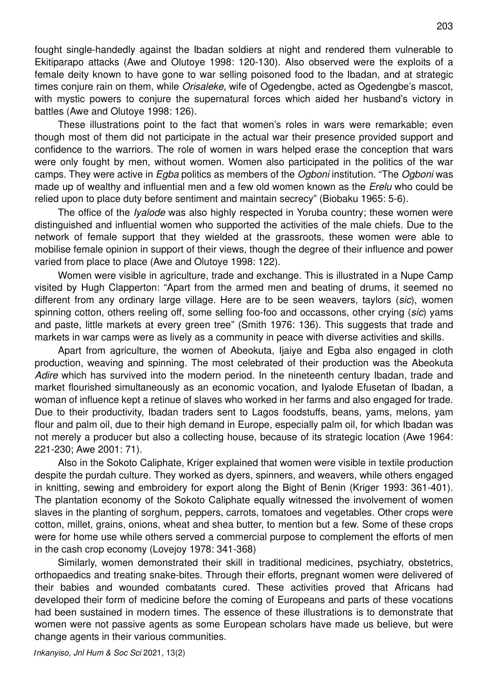fought single-handedly against the Ibadan soldiers at night and rendered them vulnerable to Ekitiparapo attacks (Awe and Olutoye 1998: 120-130). Also observed were the exploits of a female deity known to have gone to war selling poisoned food to the Ibadan, and at strategic times conjure rain on them, while *Orisaleke*, wife of Ogedengbe, acted as Ogedengbe's mascot, with mystic powers to conjure the supernatural forces which aided her husband's victory in battles (Awe and Olutoye 1998: 126).

These illustrations point to the fact that women's roles in wars were remarkable; even though most of them did not participate in the actual war their presence provided support and confidence to the warriors. The role of women in wars helped erase the conception that wars were only fought by men, without women. Women also participated in the politics of the war camps. They were active in *Egba* politics as members of the *Ogboni* institution. "The *Ogboni* was made up of wealthy and influential men and a few old women known as the *Erelu* who could be relied upon to place duty before sentiment and maintain secrecy" (Biobaku 1965: 5-6).

The office of the *Iyalode* was also highly respected in Yoruba country; these women were distinguished and influential women who supported the activities of the male chiefs. Due to the network of female support that they wielded at the grassroots, these women were able to mobilise female opinion in support of their views, though the degree of their influence and power varied from place to place (Awe and Olutoye 1998: 122).

Women were visible in agriculture, trade and exchange. This is illustrated in a Nupe Camp visited by Hugh Clapperton: "Apart from the armed men and beating of drums, it seemed no different from any ordinary large village. Here are to be seen weavers, taylors (*sic*), women spinning cotton, others reeling off, some selling foo-foo and occassons, other crying (*sic*) yams and paste, little markets at every green tree" (Smith 1976: 136). This suggests that trade and markets in war camps were as lively as a community in peace with diverse activities and skills.

Apart from agriculture, the women of Abeokuta, Ijaiye and Egba also engaged in cloth production, weaving and spinning. The most celebrated of their production was the Abeokuta *Adire* which has survived into the modern period. In the nineteenth century Ibadan, trade and market flourished simultaneously as an economic vocation, and Iyalode Efusetan of Ibadan, a woman of influence kept a retinue of slaves who worked in her farms and also engaged for trade. Due to their productivity, Ibadan traders sent to Lagos foodstuffs, beans, yams, melons, yam flour and palm oil, due to their high demand in Europe, especially palm oil, for which Ibadan was not merely a producer but also a collecting house, because of its strategic location (Awe 1964: 221-230; Awe 2001: 71).

Also in the Sokoto Caliphate, Kriger explained that women were visible in textile production despite the purdah culture. They worked as dyers, spinners, and weavers, while others engaged in knitting, sewing and embroidery for export along the Bight of Benin (Kriger 1993: 361-401). The plantation economy of the Sokoto Caliphate equally witnessed the involvement of women slaves in the planting of sorghum, peppers, carrots, tomatoes and vegetables. Other crops were cotton, millet, grains, onions, wheat and shea butter, to mention but a few. Some of these crops were for home use while others served a commercial purpose to complement the efforts of men in the cash crop economy (Lovejoy 1978: 341-368)

Similarly, women demonstrated their skill in traditional medicines, psychiatry, obstetrics, orthopaedics and treating snake-bites. Through their efforts, pregnant women were delivered of their babies and wounded combatants cured. These activities proved that Africans had developed their form of medicine before the coming of Europeans and parts of these vocations had been sustained in modern times. The essence of these illustrations is to demonstrate that women were not passive agents as some European scholars have made us believe, but were change agents in their various communities.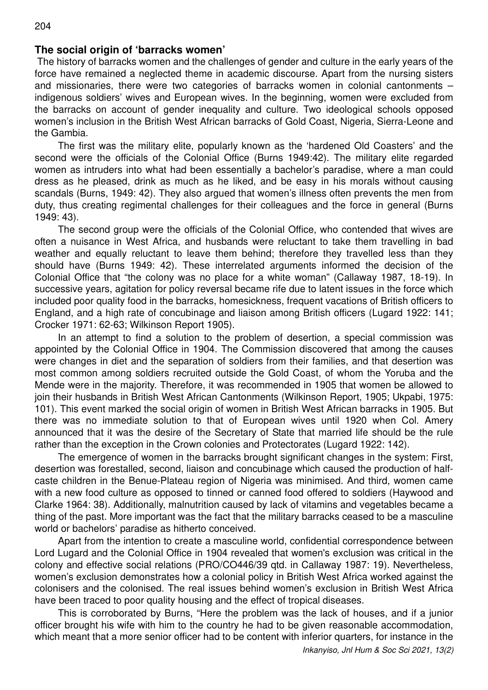The history of barracks women and the challenges of gender and culture in the early years of the force have remained a neglected theme in academic discourse. Apart from the nursing sisters and missionaries, there were two categories of barracks women in colonial cantonments – indigenous soldiers' wives and European wives. In the beginning, women were excluded from the barracks on account of gender inequality and culture. Two ideological schools opposed women's inclusion in the British West African barracks of Gold Coast, Nigeria, Sierra-Leone and the Gambia.

The first was the military elite, popularly known as the 'hardened Old Coasters' and the second were the officials of the Colonial Office (Burns 1949:42). The military elite regarded women as intruders into what had been essentially a bachelor's paradise, where a man could dress as he pleased, drink as much as he liked, and be easy in his morals without causing scandals (Burns, 1949: 42). They also argued that women's illness often prevents the men from duty, thus creating regimental challenges for their colleagues and the force in general (Burns 1949: 43).

The second group were the officials of the Colonial Office, who contended that wives are often a nuisance in West Africa, and husbands were reluctant to take them travelling in bad weather and equally reluctant to leave them behind; therefore they travelled less than they should have (Burns 1949: 42). These interrelated arguments informed the decision of the Colonial Office that "the colony was no place for a white woman" (Callaway 1987, 18-19). In successive years, agitation for policy reversal became rife due to latent issues in the force which included poor quality food in the barracks, homesickness, frequent vacations of British officers to England, and a high rate of concubinage and liaison among British officers (Lugard 1922: 141; Crocker 1971: 62-63; Wilkinson Report 1905).

In an attempt to find a solution to the problem of desertion, a special commission was appointed by the Colonial Office in 1904. The Commission discovered that among the causes were changes in diet and the separation of soldiers from their families, and that desertion was most common among soldiers recruited outside the Gold Coast, of whom the Yoruba and the Mende were in the majority. Therefore, it was recommended in 1905 that women be allowed to join their husbands in British West African Cantonments (Wilkinson Report, 1905; Ukpabi, 1975: 101). This event marked the social origin of women in British West African barracks in 1905. But there was no immediate solution to that of European wives until 1920 when Col. Amery announced that it was the desire of the Secretary of State that married life should be the rule rather than the exception in the Crown colonies and Protectorates (Lugard 1922: 142).

The emergence of women in the barracks brought significant changes in the system: First, desertion was forestalled, second, liaison and concubinage which caused the production of halfcaste children in the Benue-Plateau region of Nigeria was minimised. And third, women came with a new food culture as opposed to tinned or canned food offered to soldiers (Haywood and Clarke 1964: 38). Additionally, malnutrition caused by lack of vitamins and vegetables became a thing of the past. More important was the fact that the military barracks ceased to be a masculine world or bachelors' paradise as hitherto conceived.

Apart from the intention to create a masculine world, confidential correspondence between Lord Lugard and the Colonial Office in 1904 revealed that women's exclusion was critical in the colony and effective social relations (PRO/CO446/39 qtd. in Callaway 1987: 19). Nevertheless, women's exclusion demonstrates how a colonial policy in British West Africa worked against the colonisers and the colonised. The real issues behind women's exclusion in British West Africa have been traced to poor quality housing and the effect of tropical diseases.

This is corroborated by Burns, "Here the problem was the lack of houses, and if a junior officer brought his wife with him to the country he had to be given reasonable accommodation, which meant that a more senior officer had to be content with inferior quarters, for instance in the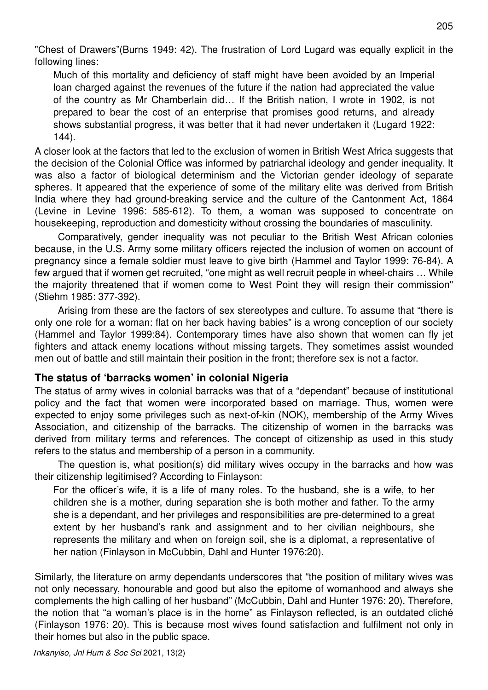"Chest of Drawers"(Burns 1949: 42). The frustration of Lord Lugard was equally explicit in the following lines:

205

Much of this mortality and deficiency of staff might have been avoided by an Imperial loan charged against the revenues of the future if the nation had appreciated the value of the country as Mr Chamberlain did… If the British nation, I wrote in 1902, is not prepared to bear the cost of an enterprise that promises good returns, and already shows substantial progress, it was better that it had never undertaken it (Lugard 1922: 144).

A closer look at the factors that led to the exclusion of women in British West Africa suggests that the decision of the Colonial Office was informed by patriarchal ideology and gender inequality. It was also a factor of biological determinism and the Victorian gender ideology of separate spheres. It appeared that the experience of some of the military elite was derived from British India where they had ground-breaking service and the culture of the Cantonment Act, 1864 (Levine in Levine 1996: 585-612). To them, a woman was supposed to concentrate on housekeeping, reproduction and domesticity without crossing the boundaries of masculinity.

Comparatively, gender inequality was not peculiar to the British West African colonies because, in the U.S. Army some military officers rejected the inclusion of women on account of pregnancy since a female soldier must leave to give birth (Hammel and Taylor 1999: 76-84). A few argued that if women get recruited, "one might as well recruit people in wheel-chairs … While the majority threatened that if women come to West Point they will resign their commission" (Stiehm 1985: 377-392).

Arising from these are the factors of sex stereotypes and culture. To assume that "there is only one role for a woman: flat on her back having babies" is a wrong conception of our society (Hammel and Taylor 1999:84). Contemporary times have also shown that women can fly jet fighters and attack enemy locations without missing targets. They sometimes assist wounded men out of battle and still maintain their position in the front; therefore sex is not a factor.

### **The status of 'barracks women' in colonial Nigeria**

The status of army wives in colonial barracks was that of a "dependant" because of institutional policy and the fact that women were incorporated based on marriage. Thus, women were expected to enjoy some privileges such as next-of-kin (NOK), membership of the Army Wives Association, and citizenship of the barracks. The citizenship of women in the barracks was derived from military terms and references. The concept of citizenship as used in this study refers to the status and membership of a person in a community.

The question is, what position(s) did military wives occupy in the barracks and how was their citizenship legitimised? According to Finlayson:

For the officer's wife, it is a life of many roles. To the husband, she is a wife, to her children she is a mother, during separation she is both mother and father. To the army she is a dependant, and her privileges and responsibilities are pre-determined to a great extent by her husband's rank and assignment and to her civilian neighbours, she represents the military and when on foreign soil, she is a diplomat, a representative of her nation (Finlayson in McCubbin, Dahl and Hunter 1976:20).

Similarly, the literature on army dependants underscores that "the position of military wives was not only necessary, honourable and good but also the epitome of womanhood and always she complements the high calling of her husband" (McCubbin, Dahl and Hunter 1976: 20). Therefore, the notion that "a woman's place is in the home" as Finlayson reflected, is an outdated cliché (Finlayson 1976: 20). This is because most wives found satisfaction and fulfilment not only in their homes but also in the public space.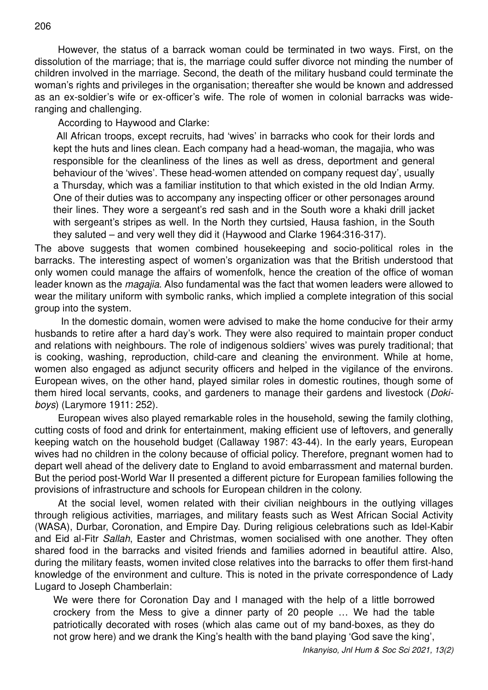However, the status of a barrack woman could be terminated in two ways. First, on the dissolution of the marriage; that is, the marriage could suffer divorce not minding the number of children involved in the marriage. Second, the death of the military husband could terminate the woman's rights and privileges in the organisation; thereafter she would be known and addressed as an ex-soldier's wife or ex-officer's wife. The role of women in colonial barracks was wideranging and challenging.

According to Haywood and Clarke:

 All African troops, except recruits, had 'wives' in barracks who cook for their lords and kept the huts and lines clean. Each company had a head-woman, the magajia, who was responsible for the cleanliness of the lines as well as dress, deportment and general behaviour of the 'wives'. These head-women attended on company request day', usually a Thursday, which was a familiar institution to that which existed in the old Indian Army. One of their duties was to accompany any inspecting officer or other personages around their lines. They wore a sergeant's red sash and in the South wore a khaki drill jacket with sergeant's stripes as well. In the North they curtsied, Hausa fashion, in the South they saluted – and very well they did it (Haywood and Clarke 1964:316-317).

The above suggests that women combined housekeeping and socio-political roles in the barracks. The interesting aspect of women's organization was that the British understood that only women could manage the affairs of womenfolk, hence the creation of the office of woman leader known as the *magajia*. Also fundamental was the fact that women leaders were allowed to wear the military uniform with symbolic ranks, which implied a complete integration of this social group into the system.

 In the domestic domain, women were advised to make the home conducive for their army husbands to retire after a hard day's work. They were also required to maintain proper conduct and relations with neighbours. The role of indigenous soldiers' wives was purely traditional; that is cooking, washing, reproduction, child-care and cleaning the environment. While at home, women also engaged as adjunct security officers and helped in the vigilance of the environs. European wives, on the other hand, played similar roles in domestic routines, though some of them hired local servants, cooks, and gardeners to manage their gardens and livestock (*Dokiboys*) (Larymore 1911: 252).

European wives also played remarkable roles in the household, sewing the family clothing, cutting costs of food and drink for entertainment, making efficient use of leftovers, and generally keeping watch on the household budget (Callaway 1987: 43-44). In the early years, European wives had no children in the colony because of official policy. Therefore, pregnant women had to depart well ahead of the delivery date to England to avoid embarrassment and maternal burden. But the period post-World War II presented a different picture for European families following the provisions of infrastructure and schools for European children in the colony.

At the social level, women related with their civilian neighbours in the outlying villages through religious activities, marriages, and military feasts such as West African Social Activity (WASA), Durbar, Coronation, and Empire Day. During religious celebrations such as Idel-Kabir and Eid al-Fitr *Sallah*, Easter and Christmas, women socialised with one another. They often shared food in the barracks and visited friends and families adorned in beautiful attire. Also, during the military feasts, women invited close relatives into the barracks to offer them first-hand knowledge of the environment and culture. This is noted in the private correspondence of Lady Lugard to Joseph Chamberlain:

We were there for Coronation Day and I managed with the help of a little borrowed crockery from the Mess to give a dinner party of 20 people … We had the table patriotically decorated with roses (which alas came out of my band-boxes, as they do not grow here) and we drank the King's health with the band playing 'God save the king',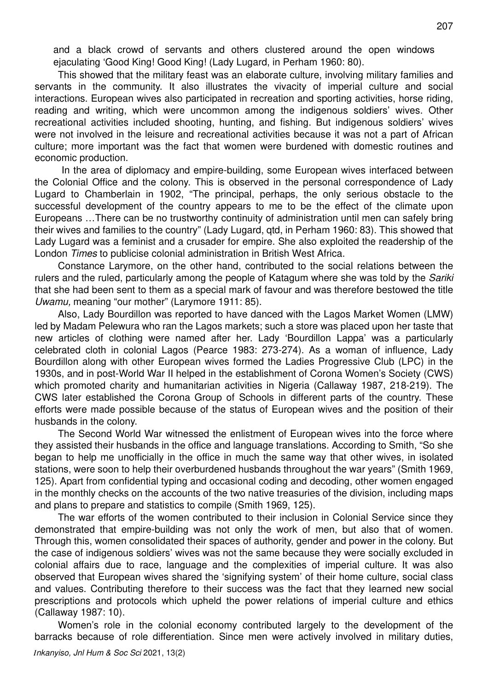and a black crowd of servants and others clustered around the open windows ejaculating 'Good King! Good King! (Lady Lugard, in Perham 1960: 80).

This showed that the military feast was an elaborate culture, involving military families and servants in the community. It also illustrates the vivacity of imperial culture and social interactions. European wives also participated in recreation and sporting activities, horse riding, reading and writing, which were uncommon among the indigenous soldiers' wives. Other recreational activities included shooting, hunting, and fishing. But indigenous soldiers' wives were not involved in the leisure and recreational activities because it was not a part of African culture; more important was the fact that women were burdened with domestic routines and economic production.

 In the area of diplomacy and empire-building, some European wives interfaced between the Colonial Office and the colony. This is observed in the personal correspondence of Lady Lugard to Chamberlain in 1902, "The principal, perhaps, the only serious obstacle to the successful development of the country appears to me to be the effect of the climate upon Europeans …There can be no trustworthy continuity of administration until men can safely bring their wives and families to the country" (Lady Lugard, qtd, in Perham 1960: 83). This showed that Lady Lugard was a feminist and a crusader for empire. She also exploited the readership of the London *Times* to publicise colonial administration in British West Africa.

Constance Larymore, on the other hand, contributed to the social relations between the rulers and the ruled, particularly among the people of Katagum where she was told by the *Sariki* that she had been sent to them as a special mark of favour and was therefore bestowed the title *Uwamu,* meaning "our mother" (Larymore 1911: 85).

Also, Lady Bourdillon was reported to have danced with the Lagos Market Women (LMW) led by Madam Pelewura who ran the Lagos markets; such a store was placed upon her taste that new articles of clothing were named after her. Lady 'Bourdillon Lappa' was a particularly celebrated cloth in colonial Lagos (Pearce 1983: 273-274). As a woman of influence, Lady Bourdillon along with other European wives formed the Ladies Progressive Club (LPC) in the 1930s, and in post-World War II helped in the establishment of Corona Women's Society (CWS) which promoted charity and humanitarian activities in Nigeria (Callaway 1987, 218-219). The CWS later established the Corona Group of Schools in different parts of the country. These efforts were made possible because of the status of European wives and the position of their husbands in the colony.

The Second World War witnessed the enlistment of European wives into the force where they assisted their husbands in the office and language translations. According to Smith, "So she began to help me unofficially in the office in much the same way that other wives, in isolated stations, were soon to help their overburdened husbands throughout the war years" (Smith 1969, 125). Apart from confidential typing and occasional coding and decoding, other women engaged in the monthly checks on the accounts of the two native treasuries of the division, including maps and plans to prepare and statistics to compile (Smith 1969, 125).

The war efforts of the women contributed to their inclusion in Colonial Service since they demonstrated that empire-building was not only the work of men, but also that of women. Through this, women consolidated their spaces of authority, gender and power in the colony. But the case of indigenous soldiers' wives was not the same because they were socially excluded in colonial affairs due to race, language and the complexities of imperial culture. It was also observed that European wives shared the 'signifying system' of their home culture, social class and values. Contributing therefore to their success was the fact that they learned new social prescriptions and protocols which upheld the power relations of imperial culture and ethics (Callaway 1987: 10).

Women's role in the colonial economy contributed largely to the development of the barracks because of role differentiation. Since men were actively involved in military duties,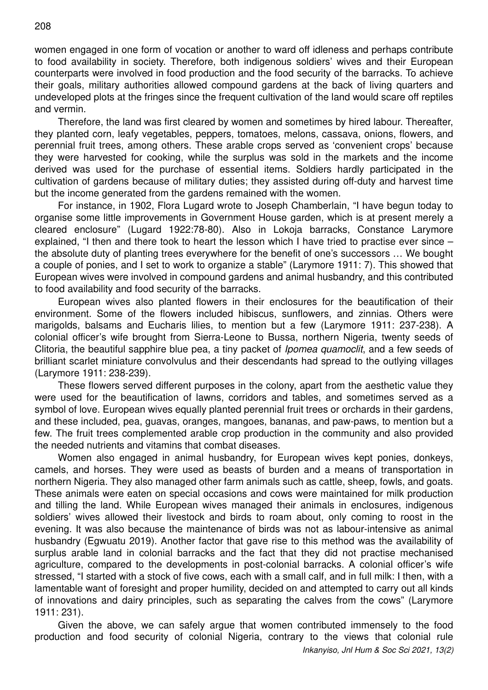women engaged in one form of vocation or another to ward off idleness and perhaps contribute to food availability in society. Therefore, both indigenous soldiers' wives and their European counterparts were involved in food production and the food security of the barracks. To achieve their goals, military authorities allowed compound gardens at the back of living quarters and undeveloped plots at the fringes since the frequent cultivation of the land would scare off reptiles and vermin.

Therefore, the land was first cleared by women and sometimes by hired labour. Thereafter, they planted corn, leafy vegetables, peppers, tomatoes, melons, cassava, onions, flowers, and perennial fruit trees, among others. These arable crops served as 'convenient crops' because they were harvested for cooking, while the surplus was sold in the markets and the income derived was used for the purchase of essential items. Soldiers hardly participated in the cultivation of gardens because of military duties; they assisted during off-duty and harvest time but the income generated from the gardens remained with the women.

For instance, in 1902, Flora Lugard wrote to Joseph Chamberlain, "I have begun today to organise some little improvements in Government House garden, which is at present merely a cleared enclosure" (Lugard 1922:78-80). Also in Lokoja barracks, Constance Larymore explained, "I then and there took to heart the lesson which I have tried to practise ever since – the absolute duty of planting trees everywhere for the benefit of one's successors … We bought a couple of ponies, and I set to work to organize a stable" (Larymore 1911: 7). This showed that European wives were involved in compound gardens and animal husbandry, and this contributed to food availability and food security of the barracks.

European wives also planted flowers in their enclosures for the beautification of their environment. Some of the flowers included hibiscus, sunflowers, and zinnias. Others were marigolds, balsams and Eucharis lilies, to mention but a few (Larymore 1911: 237-238). A colonial officer's wife brought from Sierra-Leone to Bussa, northern Nigeria, twenty seeds of Clitoria, the beautiful sapphire blue pea, a tiny packet of *Ipomea quamoclit*, and a few seeds of brilliant scarlet miniature convolvulus and their descendants had spread to the outlying villages (Larymore 1911: 238-239).

These flowers served different purposes in the colony, apart from the aesthetic value they were used for the beautification of lawns, corridors and tables, and sometimes served as a symbol of love. European wives equally planted perennial fruit trees or orchards in their gardens, and these included, pea, guavas, oranges, mangoes, bananas, and paw-paws, to mention but a few. The fruit trees complemented arable crop production in the community and also provided the needed nutrients and vitamins that combat diseases.

Women also engaged in animal husbandry, for European wives kept ponies, donkeys, camels, and horses. They were used as beasts of burden and a means of transportation in northern Nigeria. They also managed other farm animals such as cattle, sheep, fowls, and goats. These animals were eaten on special occasions and cows were maintained for milk production and tilling the land. While European wives managed their animals in enclosures, indigenous soldiers' wives allowed their livestock and birds to roam about, only coming to roost in the evening. It was also because the maintenance of birds was not as labour-intensive as animal husbandry (Egwuatu 2019). Another factor that gave rise to this method was the availability of surplus arable land in colonial barracks and the fact that they did not practise mechanised agriculture, compared to the developments in post-colonial barracks. A colonial officer's wife stressed, "I started with a stock of five cows, each with a small calf, and in full milk: I then, with a lamentable want of foresight and proper humility, decided on and attempted to carry out all kinds of innovations and dairy principles, such as separating the calves from the cows" (Larymore 1911: 231).

Given the above, we can safely argue that women contributed immensely to the food production and food security of colonial Nigeria, contrary to the views that colonial rule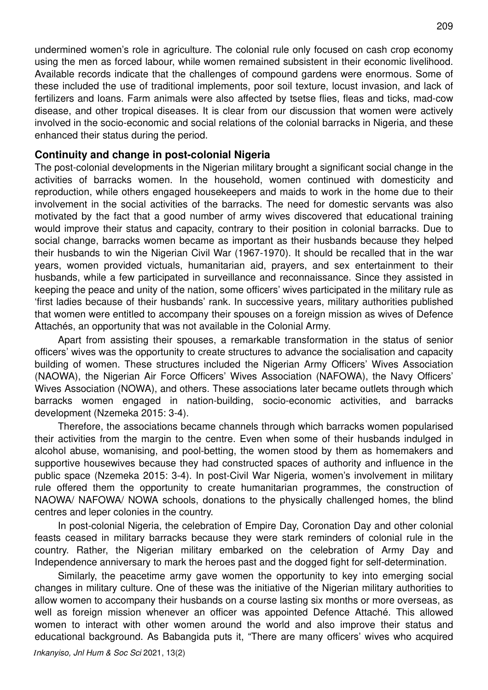undermined women's role in agriculture. The colonial rule only focused on cash crop economy using the men as forced labour, while women remained subsistent in their economic livelihood. Available records indicate that the challenges of compound gardens were enormous. Some of these included the use of traditional implements, poor soil texture, locust invasion, and lack of fertilizers and loans. Farm animals were also affected by tsetse flies, fleas and ticks, mad-cow disease, and other tropical diseases. It is clear from our discussion that women were actively involved in the socio-economic and social relations of the colonial barracks in Nigeria, and these enhanced their status during the period.

#### **Continuity and change in post-colonial Nigeria**

The post-colonial developments in the Nigerian military brought a significant social change in the activities of barracks women. In the household, women continued with domesticity and reproduction, while others engaged housekeepers and maids to work in the home due to their involvement in the social activities of the barracks. The need for domestic servants was also motivated by the fact that a good number of army wives discovered that educational training would improve their status and capacity, contrary to their position in colonial barracks. Due to social change, barracks women became as important as their husbands because they helped their husbands to win the Nigerian Civil War (1967-1970). It should be recalled that in the war years, women provided victuals, humanitarian aid, prayers, and sex entertainment to their husbands, while a few participated in surveillance and reconnaissance. Since they assisted in keeping the peace and unity of the nation, some officers' wives participated in the military rule as 'first ladies because of their husbands' rank. In successive years, military authorities published that women were entitled to accompany their spouses on a foreign mission as wives of Defence Attachés, an opportunity that was not available in the Colonial Army.

Apart from assisting their spouses, a remarkable transformation in the status of senior officers' wives was the opportunity to create structures to advance the socialisation and capacity building of women. These structures included the Nigerian Army Officers' Wives Association (NAOWA), the Nigerian Air Force Officers' Wives Association (NAFOWA), the Navy Officers' Wives Association (NOWA), and others. These associations later became outlets through which barracks women engaged in nation-building, socio-economic activities, and barracks development (Nzemeka 2015: 3-4).

Therefore, the associations became channels through which barracks women popularised their activities from the margin to the centre. Even when some of their husbands indulged in alcohol abuse, womanising, and pool-betting, the women stood by them as homemakers and supportive housewives because they had constructed spaces of authority and influence in the public space (Nzemeka 2015: 3-4). In post-Civil War Nigeria, women's involvement in military rule offered them the opportunity to create humanitarian programmes, the construction of NAOWA/ NAFOWA/ NOWA schools, donations to the physically challenged homes, the blind centres and leper colonies in the country.

In post-colonial Nigeria, the celebration of Empire Day, Coronation Day and other colonial feasts ceased in military barracks because they were stark reminders of colonial rule in the country. Rather, the Nigerian military embarked on the celebration of Army Day and Independence anniversary to mark the heroes past and the dogged fight for self-determination.

Similarly, the peacetime army gave women the opportunity to key into emerging social changes in military culture. One of these was the initiative of the Nigerian military authorities to allow women to accompany their husbands on a course lasting six months or more overseas, as well as foreign mission whenever an officer was appointed Defence Attaché. This allowed women to interact with other women around the world and also improve their status and educational background. As Babangida puts it, "There are many officers' wives who acquired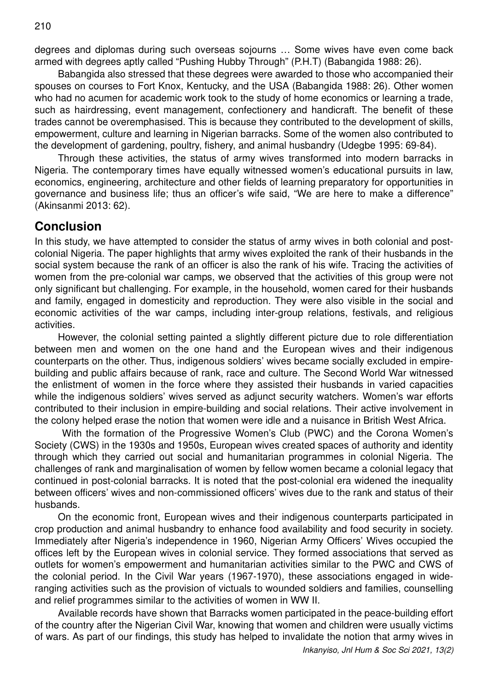degrees and diplomas during such overseas sojourns … Some wives have even come back armed with degrees aptly called "Pushing Hubby Through" (P.H.T) (Babangida 1988: 26).

Babangida also stressed that these degrees were awarded to those who accompanied their spouses on courses to Fort Knox, Kentucky, and the USA (Babangida 1988: 26). Other women who had no acumen for academic work took to the study of home economics or learning a trade, such as hairdressing, event management, confectionery and handicraft. The benefit of these trades cannot be overemphasised. This is because they contributed to the development of skills, empowerment, culture and learning in Nigerian barracks. Some of the women also contributed to the development of gardening, poultry, fishery, and animal husbandry (Udegbe 1995: 69-84).

Through these activities, the status of army wives transformed into modern barracks in Nigeria. The contemporary times have equally witnessed women's educational pursuits in law, economics, engineering, architecture and other fields of learning preparatory for opportunities in governance and business life; thus an officer's wife said, "We are here to make a difference" (Akinsanmi 2013: 62).

## **Conclusion**

In this study, we have attempted to consider the status of army wives in both colonial and postcolonial Nigeria. The paper highlights that army wives exploited the rank of their husbands in the social system because the rank of an officer is also the rank of his wife. Tracing the activities of women from the pre-colonial war camps, we observed that the activities of this group were not only significant but challenging. For example, in the household, women cared for their husbands and family, engaged in domesticity and reproduction. They were also visible in the social and economic activities of the war camps, including inter-group relations, festivals, and religious activities.

However, the colonial setting painted a slightly different picture due to role differentiation between men and women on the one hand and the European wives and their indigenous counterparts on the other. Thus, indigenous soldiers' wives became socially excluded in empirebuilding and public affairs because of rank, race and culture. The Second World War witnessed the enlistment of women in the force where they assisted their husbands in varied capacities while the indigenous soldiers' wives served as adjunct security watchers. Women's war efforts contributed to their inclusion in empire-building and social relations. Their active involvement in the colony helped erase the notion that women were idle and a nuisance in British West Africa.

 With the formation of the Progressive Women's Club (PWC) and the Corona Women's Society (CWS) in the 1930s and 1950s, European wives created spaces of authority and identity through which they carried out social and humanitarian programmes in colonial Nigeria. The challenges of rank and marginalisation of women by fellow women became a colonial legacy that continued in post-colonial barracks. It is noted that the post-colonial era widened the inequality between officers' wives and non-commissioned officers' wives due to the rank and status of their husbands.

On the economic front, European wives and their indigenous counterparts participated in crop production and animal husbandry to enhance food availability and food security in society. Immediately after Nigeria's independence in 1960, Nigerian Army Officers' Wives occupied the offices left by the European wives in colonial service. They formed associations that served as outlets for women's empowerment and humanitarian activities similar to the PWC and CWS of the colonial period. In the Civil War years (1967-1970), these associations engaged in wideranging activities such as the provision of victuals to wounded soldiers and families, counselling and relief programmes similar to the activities of women in WW II.

Available records have shown that Barracks women participated in the peace-building effort of the country after the Nigerian Civil War, knowing that women and children were usually victims of wars. As part of our findings, this study has helped to invalidate the notion that army wives in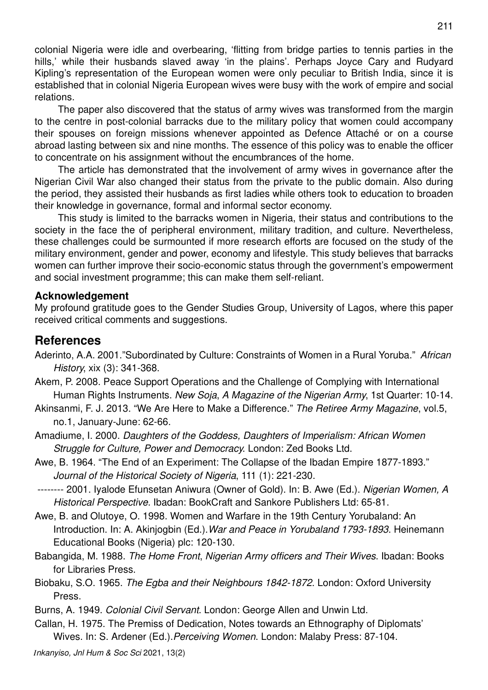colonial Nigeria were idle and overbearing, 'flitting from bridge parties to tennis parties in the hills,' while their husbands slaved away 'in the plains'. Perhaps Joyce Cary and Rudyard Kipling's representation of the European women were only peculiar to British India, since it is established that in colonial Nigeria European wives were busy with the work of empire and social relations.

The paper also discovered that the status of army wives was transformed from the margin to the centre in post-colonial barracks due to the military policy that women could accompany their spouses on foreign missions whenever appointed as Defence Attaché or on a course abroad lasting between six and nine months. The essence of this policy was to enable the officer to concentrate on his assignment without the encumbrances of the home.

The article has demonstrated that the involvement of army wives in governance after the Nigerian Civil War also changed their status from the private to the public domain. Also during the period, they assisted their husbands as first ladies while others took to education to broaden their knowledge in governance, formal and informal sector economy.

This study is limited to the barracks women in Nigeria, their status and contributions to the society in the face the of peripheral environment, military tradition, and culture. Nevertheless, these challenges could be surmounted if more research efforts are focused on the study of the military environment, gender and power, economy and lifestyle. This study believes that barracks women can further improve their socio-economic status through the government's empowerment and social investment programme; this can make them self-reliant.

#### **Acknowledgement**

My profound gratitude goes to the Gender Studies Group, University of Lagos, where this paper received critical comments and suggestions.

## **References**

- Aderinto, A.A. 2001."Subordinated by Culture: Constraints of Women in a Rural Yoruba." *African History*, xix (3): 341-368.
- Akem, P. 2008. Peace Support Operations and the Challenge of Complying with International Human Rights Instruments. *New Soja*, *A Magazine of the Nigerian Army*, 1st Quarter: 10-14.
- Akinsanmi, F. J. 2013. "We Are Here to Make a Difference." *The Retiree Army Magazine*, vol.5, no.1, January-June: 62-66.
- Amadiume, I. 2000. *Daughters of the Goddess, Daughters of Imperialism: African Women Struggle for Culture, Power and Democracy*. London: Zed Books Ltd.
- Awe, B. 1964. "The End of an Experiment: The Collapse of the Ibadan Empire 1877-1893." *Journal of the Historical Society of Nigeria*, 111 (1): 221-230.
- -------- 2001. Iyalode Efunsetan Aniwura (Owner of Gold). In: B. Awe (Ed.). *Nigerian Women, A Historical Perspective*. Ibadan: BookCraft and Sankore Publishers Ltd: 65-81.
- Awe, B. and Olutoye, O. 1998. Women and Warfare in the 19th Century Yorubaland: An Introduction. In: A. Akinjogbin (Ed.).*War and Peace in Yorubaland 1793-1893*. Heinemann Educational Books (Nigeria) plc: 120-130.
- Babangida, M. 1988. *The Home Front*, *Nigerian Army officers and Their Wives*. Ibadan: Books for Libraries Press.
- Biobaku, S.O. 1965. *The Egba and their Neighbours 1842-1872*. London: Oxford University Press.
- Burns, A. 1949. *Colonial Civil Servant*. London: George Allen and Unwin Ltd.
- Callan, H. 1975. The Premiss of Dedication, Notes towards an Ethnography of Diplomats' Wives. In: S. Ardener (Ed.).*Perceiving Women*. London: Malaby Press: 87-104.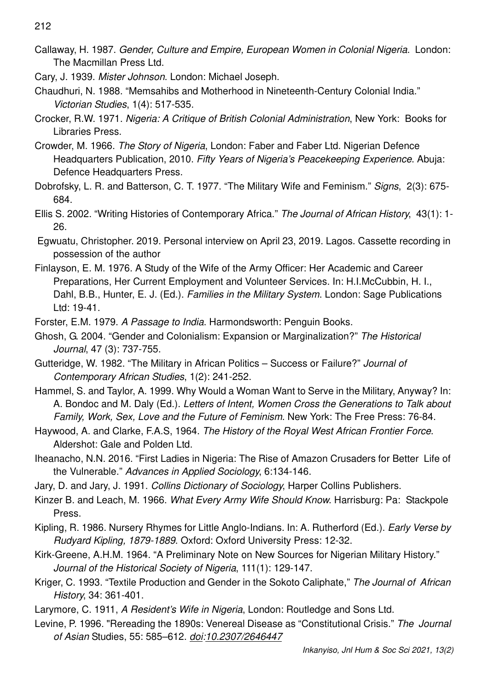212

- Callaway, H. 1987. *Gender, Culture and Empire, European Women in Colonial Nigeria*. London: The Macmillan Press Ltd.
- Cary, J. 1939. *Mister Johnson*. London: Michael Joseph.
- Chaudhuri, N. 1988. "Memsahibs and Motherhood in Nineteenth-Century Colonial India." *Victorian Studies*, 1(4): 517-535.
- Crocker, R.W. 1971. *Nigeria: A Critique of British Colonial Administration*, New York: Books for Libraries Press.
- Crowder, M. 1966. *The Story of Nigeria*, London: Faber and Faber Ltd. Nigerian Defence Headquarters Publication, 2010. *Fifty Years of Nigeria's Peacekeeping Experience*. Abuja: Defence Headquarters Press.
- Dobrofsky, L. R. and Batterson, C. T. 1977. "The Military Wife and Feminism." *Signs*, 2(3): 675- 684.
- Ellis S. 2002. "Writing Histories of Contemporary Africa." *The Journal of African History*, 43(1): 1- 26.
- Egwuatu, Christopher. 2019. Personal interview on April 23, 2019. Lagos. Cassette recording in possession of the author
- Finlayson, E. M. 1976. A Study of the Wife of the Army Officer: Her Academic and Career Preparations, Her Current Employment and Volunteer Services. In: H.I.McCubbin, H. I., Dahl, B.B., Hunter, E. J. (Ed.). *Families in the Military System*. London: Sage Publications Ltd: 19-41.
- Forster, E.M. 1979. *A Passage to India*. Harmondsworth: Penguin Books.
- Ghosh, G. 2004. "Gender and Colonialism: Expansion or Marginalization?" *The Historical Journal*, 47 (3): 737-755.
- Gutteridge, W. 1982. "The Military in African Politics Success or Failure?" *Journal of Contemporary African Studies*, 1(2): 241-252.
- Hammel, S. and Taylor, A. 1999. Why Would a Woman Want to Serve in the Military, Anyway? In: A. Bondoc and M. Daly (Ed.). *Letters of Intent, Women Cross the Generations to Talk about Family, Work, Sex, Love and the Future of Feminism*. New York: The Free Press: 76-84.
- Haywood, A. and Clarke, F.A.S, 1964. *The History of the Royal West African Frontier Force*. Aldershot: Gale and Polden Ltd.
- Iheanacho, N.N. 2016. "First Ladies in Nigeria: The Rise of Amazon Crusaders for Better Life of the Vulnerable." *Advances in Applied Sociology*, 6:134-146.
- Jary, D. and Jary, J. 1991. *Collins Dictionary of Sociology*, Harper Collins Publishers.
- Kinzer B. and Leach, M. 1966. *What Every Army Wife Should Know*. Harrisburg: Pa: Stackpole Press.
- Kipling, R. 1986. Nursery Rhymes for Little Anglo-Indians. In: A. Rutherford (Ed.). *Early Verse by Rudyard Kipling, 1879-1889*. Oxford: Oxford University Press: 12-32.
- Kirk-Greene, A.H.M. 1964. "A Preliminary Note on New Sources for Nigerian Military History." *Journal of the Historical Society of Nigeria*, 111(1): 129-147.
- Kriger, C. 1993. "Textile Production and Gender in the Sokoto Caliphate," *The Journal of African History*, 34: 361-401.
- Larymore, C. 1911, *A Resident's Wife in Nigeria*, London: Routledge and Sons Ltd.
- Levine, P. 1996*.* "Rereading the 1890s: Venereal Disease as "Constitutional Crisis." *The Journal of Asian* Studies, 55: 585–612. *doi:10.2307/2646447*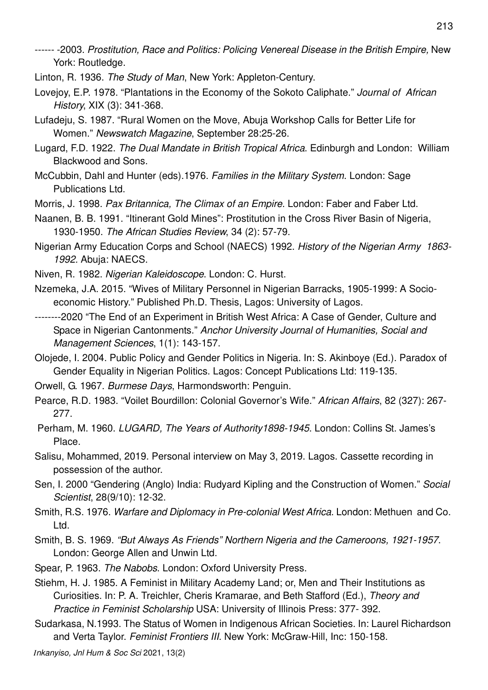- ------ -2003. *Prostitution, Race and Politics: Policing Venereal Disease in the British Empire,* New York: Routledge.
- Linton, R. 1936. *The Study of Man*, New York: Appleton-Century.
- Lovejoy, E.P. 1978. "Plantations in the Economy of the Sokoto Caliphate." *Journal of African History*, XIX (3): 341-368.
- Lufadeju, S. 1987. "Rural Women on the Move, Abuja Workshop Calls for Better Life for Women." *Newswatch Magazine*, September 28:25-26.
- Lugard, F.D. 1922. *The Dual Mandate in British Tropical Africa*. Edinburgh and London: William Blackwood and Sons.
- McCubbin, Dahl and Hunter (eds).1976. *Families in the Military System*. London: Sage Publications Ltd.
- Morris, J. 1998. *Pax Britannica, The Climax of an Empire*. London: Faber and Faber Ltd.
- Naanen, B. B. 1991. "Itinerant Gold Mines": Prostitution in the Cross River Basin of Nigeria, 1930-1950. *The African Studies Review*, 34 (2): 57-79.
- Nigerian Army Education Corps and School (NAECS) 1992. *History of the Nigerian Army 1863- 1992.* Abuja: NAECS.
- Niven, R. 1982. *Nigerian Kaleidoscope*. London: C. Hurst.
- Nzemeka, J.A. 2015. "Wives of Military Personnel in Nigerian Barracks, 1905-1999: A Socioeconomic History." Published Ph.D. Thesis, Lagos: University of Lagos.
- --------2020 "The End of an Experiment in British West Africa: A Case of Gender, Culture and Space in Nigerian Cantonments." *Anchor University Journal of Humanities, Social and Management Sciences*, 1(1): 143-157.
- Olojede, I. 2004. Public Policy and Gender Politics in Nigeria. In: S. Akinboye (Ed.). Paradox of Gender Equality in Nigerian Politics. Lagos: Concept Publications Ltd: 119-135.
- Orwell, G. 1967. *Burmese Days*, Harmondsworth: Penguin.
- Pearce, R.D. 1983. "Voilet Bourdillon: Colonial Governor's Wife." *African Affairs*, 82 (327): 267- 277.
- Perham, M. 1960. *LUGARD, The Years of Authority1898-1945*. London: Collins St. James's Place.
- Salisu, Mohammed, 2019. Personal interview on May 3, 2019. Lagos. Cassette recording in possession of the author.
- Sen, I. 2000 "Gendering (Anglo) India: Rudyard Kipling and the Construction of Women." *Social Scientist*, 28(9/10): 12-32.
- Smith, R.S. 1976. *Warfare and Diplomacy in Pre-colonial West Africa*. London: Methuen and Co. Ltd.
- Smith, B. S. 1969. *"But Always As Friends" Northern Nigeria and the Cameroons, 1921-1957*. London: George Allen and Unwin Ltd.
- Spear, P. 1963. *The Nabobs*. London: Oxford University Press.
- Stiehm, H. J. 1985. A Feminist in Military Academy Land; or, Men and Their Institutions as Curiosities. In: P. A. Treichler, Cheris Kramarae, and Beth Stafford (Ed.), *Theory and Practice in Feminist Scholarship* USA: University of Illinois Press: 377- 392.
- Sudarkasa, N.1993. The Status of Women in Indigenous African Societies. In: Laurel Richardson and Verta Taylor. *Feminist Frontiers III*. New York: McGraw-Hill, Inc: 150-158.